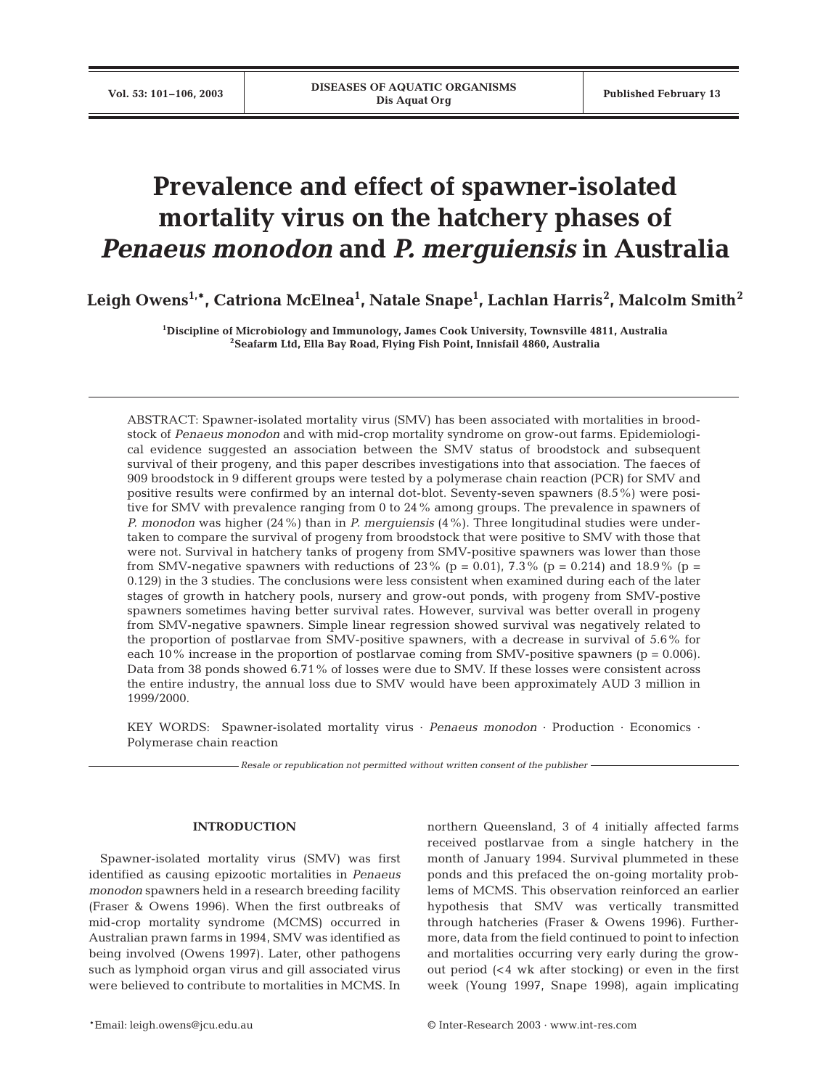# **Prevalence and effect of spawner-isolated mortality virus on the hatchery phases of**  *Penaeus monodon* **and** *P. merguiensis* **in Australia**

**Leigh Owens1,\*, Catriona McElnea1 , Natale Snape1 , Lachlan Harris<sup>2</sup> , Malcolm Smith<sup>2</sup>**

**1Discipline of Microbiology and Immunology, James Cook University, Townsville 4811, Australia 2Seafarm Ltd, Ella Bay Road, Flying Fish Point, Innisfail 4860, Australia**

ABSTRACT: Spawner-isolated mortality virus (SMV) has been associated with mortalities in broodstock of *Penaeus monodon* and with mid-crop mortality syndrome on grow-out farms. Epidemiological evidence suggested an association between the SMV status of broodstock and subsequent survival of their progeny, and this paper describes investigations into that association. The faeces of 909 broodstock in 9 different groups were tested by a polymerase chain reaction (PCR) for SMV and positive results were confirmed by an internal dot-blot. Seventy-seven spawners (8.5%) were positive for SMV with prevalence ranging from 0 to 24% among groups. The prevalence in spawners of *P. monodon* was higher (24%) than in *P. merguiensis* (4%). Three longitudinal studies were undertaken to compare the survival of progeny from broodstock that were positive to SMV with those that were not. Survival in hatchery tanks of progeny from SMV-positive spawners was lower than those from SMV-negative spawners with reductions of 23% (p = 0.01), 7.3% (p = 0.214) and 18.9% (p = 0.129) in the 3 studies. The conclusions were less consistent when examined during each of the later stages of growth in hatchery pools, nursery and grow-out ponds, with progeny from SMV-postive spawners sometimes having better survival rates. However, survival was better overall in progeny from SMV-negative spawners. Simple linear regression showed survival was negatively related to the proportion of postlarvae from SMV-positive spawners, with a decrease in survival of 5.6% for each 10% increase in the proportion of postlarvae coming from SMV-positive spawners ( $p = 0.006$ ). Data from 38 ponds showed 6.71% of losses were due to SMV. If these losses were consistent across the entire industry, the annual loss due to SMV would have been approximately AUD 3 million in 1999/2000.

KEY WORDS: Spawner-isolated mortality virus · *Penaeus monodon* · Production · Economics · Polymerase chain reaction

*Resale or republication not permitted without written consent of the publisher*

# **INTRODUCTION**

Spawner-isolated mortality virus (SMV) was first identified as causing epizootic mortalities in *Penaeus monodon* spawners held in a research breeding facility (Fraser & Owens 1996). When the first outbreaks of mid-crop mortality syndrome (MCMS) occurred in Australian prawn farms in 1994, SMV was identified as being involved (Owens 1997). Later, other pathogens such as lymphoid organ virus and gill associated virus were believed to contribute to mortalities in MCMS. In northern Queensland, 3 of 4 initially affected farms received postlarvae from a single hatchery in the month of January 1994. Survival plummeted in these ponds and this prefaced the on-going mortality problems of MCMS. This observation reinforced an earlier hypothesis that SMV was vertically transmitted through hatcheries (Fraser & Owens 1996). Furthermore, data from the field continued to point to infection and mortalities occurring very early during the growout period (<4 wk after stocking) or even in the first week (Young 1997, Snape 1998), again implicating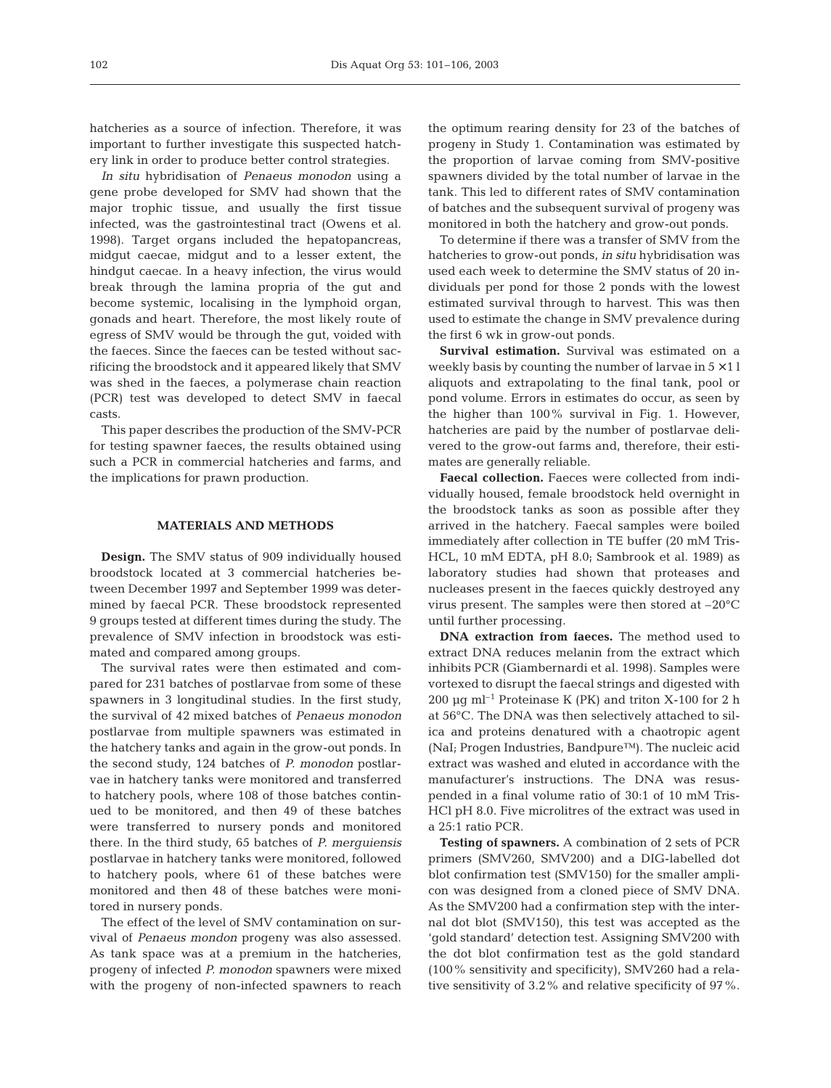hatcheries as a source of infection. Therefore, it was important to further investigate this suspected hatchery link in order to produce better control strategies.

*In situ* hybridisation of *Penaeus monodon* using a gene probe developed for SMV had shown that the major trophic tissue, and usually the first tissue infected, was the gastrointestinal tract (Owens et al. 1998). Target organs included the hepatopancreas, midgut caecae, midgut and to a lesser extent, the hindgut caecae. In a heavy infection, the virus would break through the lamina propria of the gut and become systemic, localising in the lymphoid organ, gonads and heart. Therefore, the most likely route of egress of SMV would be through the gut, voided with the faeces. Since the faeces can be tested without sacrificing the broodstock and it appeared likely that SMV was shed in the faeces, a polymerase chain reaction (PCR) test was developed to detect SMV in faecal casts.

This paper describes the production of the SMV-PCR for testing spawner faeces, the results obtained using such a PCR in commercial hatcheries and farms, and the implications for prawn production.

## **MATERIALS AND METHODS**

**Design.** The SMV status of 909 individually housed broodstock located at 3 commercial hatcheries between December 1997 and September 1999 was determined by faecal PCR. These broodstock represented 9 groups tested at different times during the study. The prevalence of SMV infection in broodstock was estimated and compared among groups.

The survival rates were then estimated and compared for 231 batches of postlarvae from some of these spawners in 3 longitudinal studies. In the first study, the survival of 42 mixed batches of *Penaeus monodon* postlarvae from multiple spawners was estimated in the hatchery tanks and again in the grow-out ponds. In the second study, 124 batches of *P. monodon* postlarvae in hatchery tanks were monitored and transferred to hatchery pools, where 108 of those batches continued to be monitored, and then 49 of these batches were transferred to nursery ponds and monitored there. In the third study, 65 batches of *P. merguiensis* postlarvae in hatchery tanks were monitored, followed to hatchery pools, where 61 of these batches were monitored and then 48 of these batches were monitored in nursery ponds.

The effect of the level of SMV contamination on survival of *Penaeus mondon* progeny was also assessed. As tank space was at a premium in the hatcheries, progeny of infected *P. monodon* spawners were mixed with the progeny of non-infected spawners to reach the optimum rearing density for 23 of the batches of progeny in Study 1. Contamination was estimated by the proportion of larvae coming from SMV-positive spawners divided by the total number of larvae in the tank. This led to different rates of SMV contamination of batches and the subsequent survival of progeny was monitored in both the hatchery and grow-out ponds.

To determine if there was a transfer of SMV from the hatcheries to grow-out ponds, *in situ* hybridisation was used each week to determine the SMV status of 20 individuals per pond for those 2 ponds with the lowest estimated survival through to harvest. This was then used to estimate the change in SMV prevalence during the first 6 wk in grow-out ponds.

**Survival estimation.** Survival was estimated on a weekly basis by counting the number of larvae in  $5 \times 11$ aliquots and extrapolating to the final tank, pool or pond volume. Errors in estimates do occur, as seen by the higher than 100% survival in Fig. 1. However, hatcheries are paid by the number of postlarvae delivered to the grow-out farms and, therefore, their estimates are generally reliable.

**Faecal collection.** Faeces were collected from individually housed, female broodstock held overnight in the broodstock tanks as soon as possible after they arrived in the hatchery. Faecal samples were boiled immediately after collection in TE buffer (20 mM Tris-HCL, 10 mM EDTA, pH 8.0; Sambrook et al. 1989) as laboratory studies had shown that proteases and nucleases present in the faeces quickly destroyed any virus present. The samples were then stored at –20°C until further processing.

**DNA extraction from faeces.** The method used to extract DNA reduces melanin from the extract which inhibits PCR (Giambernardi et al. 1998). Samples were vortexed to disrupt the faecal strings and digested with 200  $\mu$ g ml<sup>-1</sup> Proteinase K (PK) and triton X-100 for 2 h at 56°C. The DNA was then selectively attached to silica and proteins denatured with a chaotropic agent (NaI; Progen Industries, Bandpure™). The nucleic acid extract was washed and eluted in accordance with the manufacturer's instructions. The DNA was resuspended in a final volume ratio of 30:1 of 10 mM Tris-HCl pH 8.0. Five microlitres of the extract was used in a 25:1 ratio PCR.

**Testing of spawners.** A combination of 2 sets of PCR primers (SMV260, SMV200) and a DIG-labelled dot blot confirmation test (SMV150) for the smaller amplicon was designed from a cloned piece of SMV DNA. As the SMV200 had a confirmation step with the internal dot blot (SMV150), this test was accepted as the 'gold standard' detection test. Assigning SMV200 with the dot blot confirmation test as the gold standard (100% sensitivity and specificity), SMV260 had a relative sensitivity of 3.2% and relative specificity of 97%.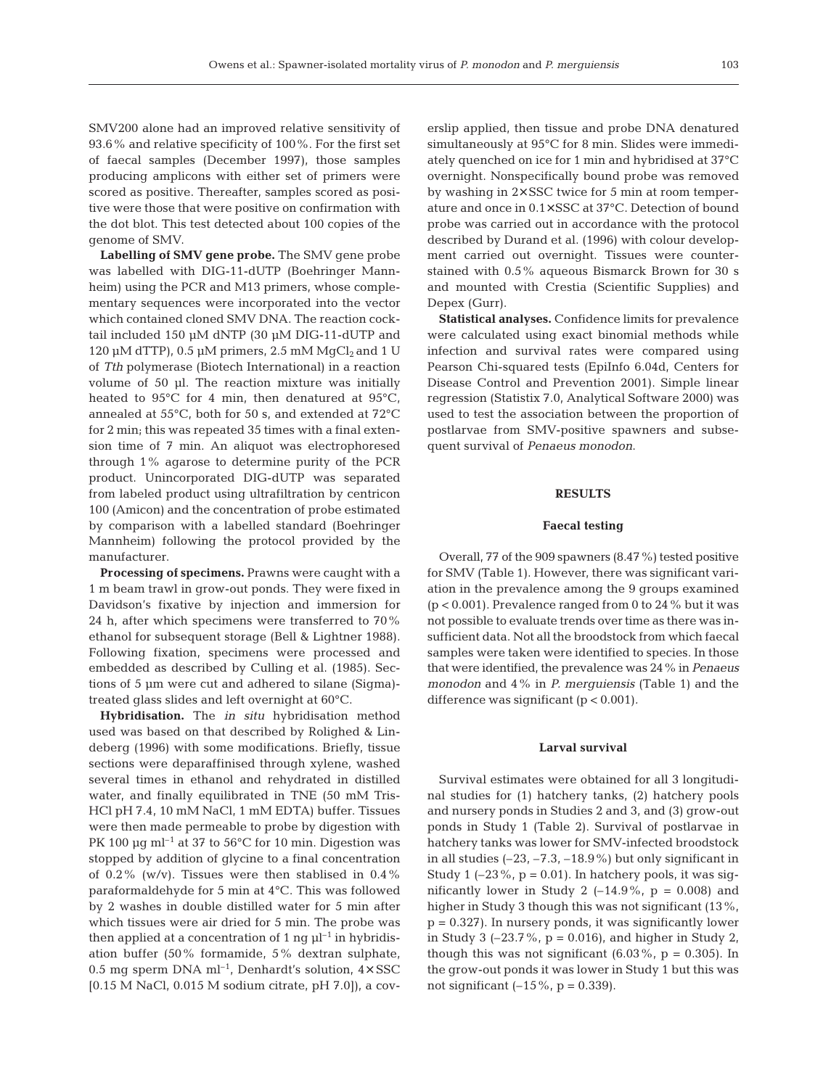SMV200 alone had an improved relative sensitivity of 93.6% and relative specificity of 100%. For the first set of faecal samples (December 1997), those samples producing amplicons with either set of primers were scored as positive. Thereafter, samples scored as positive were those that were positive on confirmation with the dot blot. This test detected about 100 copies of the genome of SMV.

**Labelling of SMV gene probe.** The SMV gene probe was labelled with DIG-11-dUTP (Boehringer Mannheim) using the PCR and M13 primers, whose complementary sequences were incorporated into the vector which contained cloned SMV DNA. The reaction cocktail included 150 µM dNTP (30 µM DIG-11-dUTP and 120 µM dTTP), 0.5 µM primers, 2.5 mM  $MqCl<sub>2</sub>$  and 1 U of *Tth* polymerase (Biotech International) in a reaction volume of 50 µl. The reaction mixture was initially heated to 95°C for 4 min, then denatured at 95°C, annealed at 55°C, both for 50 s, and extended at 72°C for 2 min; this was repeated 35 times with a final extension time of 7 min. An aliquot was electrophoresed through 1% agarose to determine purity of the PCR product. Unincorporated DIG-dUTP was separated from labeled product using ultrafiltration by centricon 100 (Amicon) and the concentration of probe estimated by comparison with a labelled standard (Boehringer Mannheim) following the protocol provided by the manufacturer.

**Processing of specimens.** Prawns were caught with a 1 m beam trawl in grow-out ponds. They were fixed in Davidson's fixative by injection and immersion for 24 h, after which specimens were transferred to 70% ethanol for subsequent storage (Bell & Lightner 1988). Following fixation, specimens were processed and embedded as described by Culling et al. (1985). Sections of 5 µm were cut and adhered to silane (Sigma) treated glass slides and left overnight at 60°C.

**Hybridisation.** The *in situ* hybridisation method used was based on that described by Rolighed & Lindeberg (1996) with some modifications. Briefly, tissue sections were deparaffinised through xylene, washed several times in ethanol and rehydrated in distilled water, and finally equilibrated in TNE (50 mM Tris-HCl pH 7.4, 10 mM NaCl, 1 mM EDTA) buffer. Tissues were then made permeable to probe by digestion with PK 100  $\mu$ g ml<sup>-1</sup> at 37 to 56°C for 10 min. Digestion was stopped by addition of glycine to a final concentration of  $0.2\%$  (w/v). Tissues were then stablised in  $0.4\%$ paraformaldehyde for 5 min at 4°C. This was followed by 2 washes in double distilled water for 5 min after which tissues were air dried for 5 min. The probe was then applied at a concentration of 1 ng  $\mu$ <sup>-1</sup> in hybridisation buffer (50% formamide, 5% dextran sulphate, 0.5 mg sperm DNA ml<sup>-1</sup>, Denhardt's solution,  $4 \times SSC$ [0.15 M NaCl, 0.015 M sodium citrate, pH 7.0]), a cov-

erslip applied, then tissue and probe DNA denatured simultaneously at 95°C for 8 min. Slides were immediately quenched on ice for 1 min and hybridised at 37°C overnight. Nonspecifically bound probe was removed by washing in 2× SSC twice for 5 min at room temperature and once in 0.1× SSC at 37°C. Detection of bound probe was carried out in accordance with the protocol described by Durand et al. (1996) with colour development carried out overnight. Tissues were counterstained with 0.5% aqueous Bismarck Brown for 30 s and mounted with Crestia (Scientific Supplies) and Depex (Gurr).

**Statistical analyses.** Confidence limits for prevalence were calculated using exact binomial methods while infection and survival rates were compared using Pearson Chi-squared tests (EpiInfo 6.04d, Centers for Disease Control and Prevention 2001). Simple linear regression (Statistix 7.0, Analytical Software 2000) was used to test the association between the proportion of postlarvae from SMV-positive spawners and subsequent survival of *Penaeus monodon*.

## **RESULTS**

## **Faecal testing**

Overall, 77 of the 909 spawners (8.47%) tested positive for SMV (Table 1). However, there was significant variation in the prevalence among the 9 groups examined  $(p < 0.001)$ . Prevalence ranged from 0 to 24 % but it was not possible to evaluate trends over time as there was insufficient data. Not all the broodstock from which faecal samples were taken were identified to species. In those that were identified, the prevalence was 24% in *Penaeus monodon* and 4% in *P. merguiensis* (Table 1) and the difference was significant (p < 0.001)*.*

#### **Larval survival**

Survival estimates were obtained for all 3 longitudinal studies for (1) hatchery tanks, (2) hatchery pools and nursery ponds in Studies 2 and 3, and (3) grow-out ponds in Study 1 (Table 2). Survival of postlarvae in hatchery tanks was lower for SMV-infected broodstock in all studies  $(-23, -7.3, -18.9\%)$  but only significant in Study 1  $(-23\%, p = 0.01)$ . In hatchery pools, it was significantly lower in Study 2  $(-14.9\% , p = 0.008)$  and higher in Study 3 though this was not significant (13%,  $p = 0.327$ ). In nursery ponds, it was significantly lower in Study 3 (-23.7%,  $p = 0.016$ ), and higher in Study 2, though this was not significant  $(6.03\% , p = 0.305)$ . In the grow-out ponds it was lower in Study 1 but this was not significant  $(-15\%, p = 0.339)$ .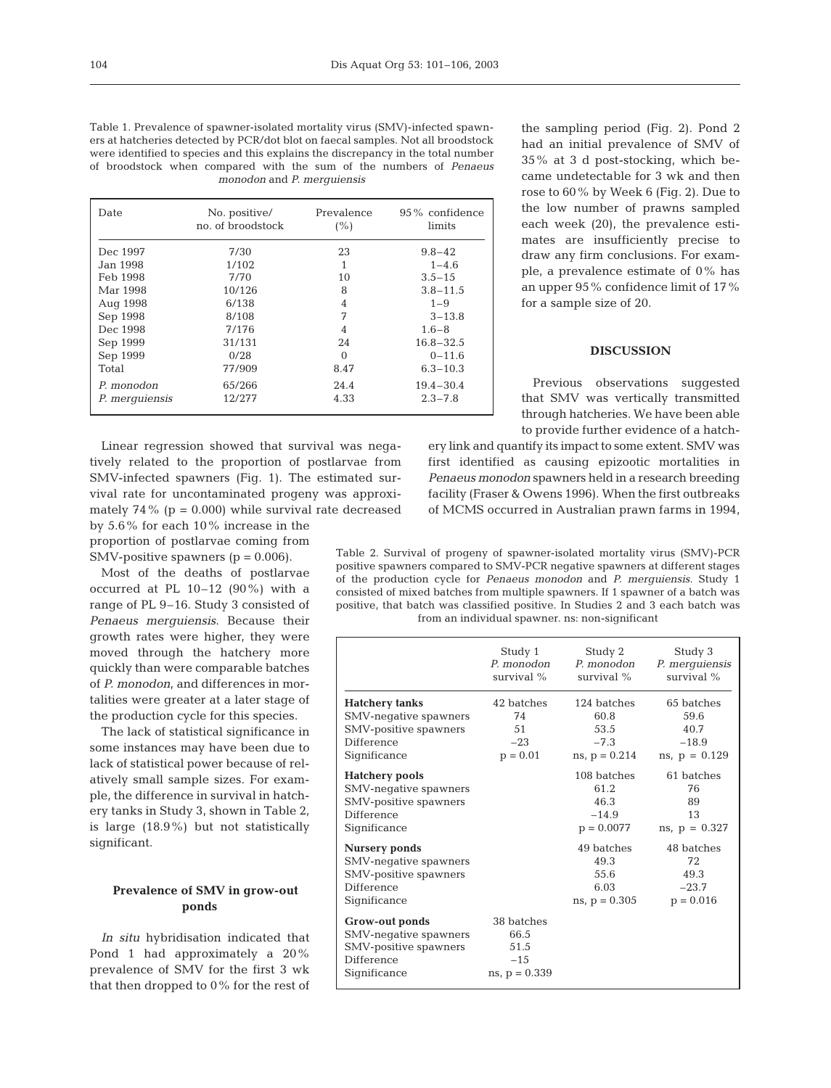Table 1. Prevalence of spawner-isolated mortality virus (SMV)-infected spawners at hatcheries detected by PCR/dot blot on faecal samples. Not all broodstock were identified to species and this explains the discrepancy in the total number of broodstock when compared with the sum of the numbers of *Penaeus monodon* and *P. merguiensis*

| Date           | No. positive/<br>no. of broodstock | Prevalence<br>(% ) | $95\%$ confidence<br>limits |
|----------------|------------------------------------|--------------------|-----------------------------|
| Dec 1997       | 7/30                               | 23                 | $9.8 - 42$                  |
| Jan 1998.      | 1/102                              |                    | $1 - 4.6$                   |
| Feb 1998       | 7/70                               | 10                 | $3.5 - 15$                  |
| Mar 1998       | 10/126                             | 8                  | $3.8 - 11.5$                |
| Aug 1998       | 6/138                              | 4                  | $1 - 9$                     |
| Sep 1998       | 8/108                              | 7                  | $3 - 13.8$                  |
| Dec 1998       | 7/176                              | 4                  | $1.6 - 8$                   |
| Sep 1999       | 31/131                             | 24                 | $16.8 - 32.5$               |
| Sep 1999       | 0/28                               | $\Omega$           | $0 - 11.6$                  |
| Total          | 77/909                             | 8.47               | $6.3 - 10.3$                |
| P. monodon     | 65/266                             | 24.4               | $19.4 - 30.4$               |
| P. merquiensis | 12/277                             | 4.33               | $2.3 - 7.8$                 |

Linear regression showed that survival was negatively related to the proportion of postlarvae from SMV-infected spawners (Fig. 1). The estimated survival rate for uncontaminated progeny was approximately 74% ( $p = 0.000$ ) while survival rate decreased by 5.6% for each 10% increase in the proportion of postlarvae coming from SMV-positive spawners  $(p = 0.006)$ .

Most of the deaths of postlarvae occurred at PL  $10-12$  (90%) with a range of PL 9–16. Study 3 consisted of *Penaeus merguiensis*. Because their growth rates were higher, they were moved through the hatchery more quickly than were comparable batches of *P. monodon*, and differences in mortalities were greater at a later stage of the production cycle for this species.

The lack of statistical significance in some instances may have been due to lack of statistical power because of relatively small sample sizes. For example, the difference in survival in hatchery tanks in Study 3, shown in Table 2, is large (18.9%) but not statistically significant.

## **Prevalence of SMV in grow-out ponds**

*In situ* hybridisation indicated that Pond 1 had approximately a 20% prevalence of SMV for the first 3 wk that then dropped to 0% for the rest of the sampling period (Fig. 2). Pond 2 had an initial prevalence of SMV of 35% at 3 d post-stocking, which became undetectable for 3 wk and then rose to 60% by Week 6 (Fig. 2). Due to the low number of prawns sampled each week (20), the prevalence estimates are insufficiently precise to draw any firm conclusions. For example, a prevalence estimate of 0% has an upper 95% confidence limit of 17% for a sample size of 20.

# **DISCUSSION**

Previous observations suggested that SMV was vertically transmitted through hatcheries. We have been able to provide further evidence of a hatch-

ery link and quantify its impact to some extent. SMV was first identified as causing epizootic mortalities in *Penaeus monodon* spawners held in a research breeding facility (Fraser & Owens 1996). When the first outbreaks of MCMS occurred in Australian prawn farms in 1994,

Table 2. Survival of progeny of spawner-isolated mortality virus (SMV)-PCR positive spawners compared to SMV-PCR negative spawners at different stages of the production cycle for *Penaeus monodon* and *P. merguiensis*. Study 1 consisted of mixed batches from multiple spawners. If 1 spawner of a batch was positive, that batch was classified positive. In Studies 2 and 3 each batch was from an individual spawner. ns: non-significant

|                                                                                                | Study 1<br>survival %                                   | Study 2<br>P. monodon P. monodon<br>survival $\%$ | Study 3<br>P. merquiensis<br>survival $%$ |
|------------------------------------------------------------------------------------------------|---------------------------------------------------------|---------------------------------------------------|-------------------------------------------|
| <b>Hatchery tanks</b>                                                                          | 42 batches                                              | 124 batches                                       | 65 batches                                |
| SMV-negative spawners                                                                          | 74                                                      | 60.8                                              | 59.6                                      |
| SMV-positive spawners                                                                          | 51                                                      | 53.5                                              | 40.7                                      |
| Difference                                                                                     | $-23$                                                   | $-7.3$                                            | $-18.9$                                   |
| Significance                                                                                   | $p = 0.01$                                              | $ns, p = 0.214$                                   | $ns$ , $p = 0.129$                        |
| <b>Hatchery</b> pools                                                                          |                                                         | 108 batches                                       | 61 batches                                |
| SMV-negative spawners                                                                          |                                                         | 61.2                                              | 76                                        |
| SMV-positive spawners                                                                          |                                                         | 46.3                                              | 89                                        |
| Difference                                                                                     |                                                         | $-14.9$                                           | 13                                        |
| Significance                                                                                   |                                                         | $p = 0.0077$                                      | $ns$ , $p = 0.327$                        |
| <b>Nursery ponds</b>                                                                           |                                                         | 49 batches                                        | 48 batches                                |
| SMV-negative spawners                                                                          |                                                         | 49.3                                              | 72                                        |
| SMV-positive spawners                                                                          |                                                         | 55.6                                              | 49.3                                      |
| Difference                                                                                     |                                                         | 6.03                                              | $-23.7$                                   |
| Significance                                                                                   |                                                         | $ns, p = 0.305$                                   | $p = 0.016$                               |
| Grow-out ponds<br>SMV-negative spawners<br>SMV-positive spawners<br>Difference<br>Significance | 38 batches<br>66.5<br>51.5<br>$-1.5$<br>$ns, p = 0.339$ |                                                   |                                           |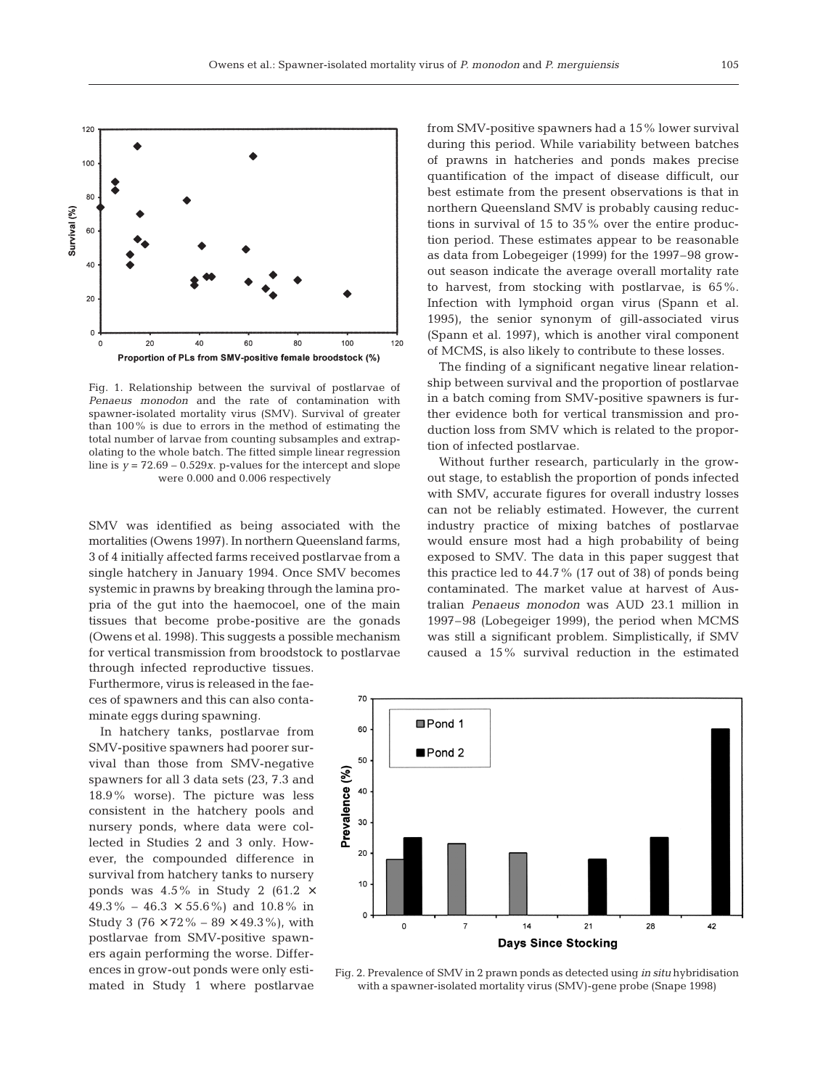

Fig. 1. Relationship between the survival of postlarvae of *Penaeus monodon* and the rate of contamination with spawner-isolated mortality virus (SMV). Survival of greater than 100% is due to errors in the method of estimating the total number of larvae from counting subsamples and extrapolating to the whole batch. The fitted simple linear regression line is  $y = 72.69 - 0.529x$ . p-values for the intercept and slope were 0.000 and 0.006 respectively

SMV was identified as being associated with the mortalities (Owens 1997). In northern Queensland farms, 3 of 4 initially affected farms received postlarvae from a single hatchery in January 1994. Once SMV becomes systemic in prawns by breaking through the lamina propria of the gut into the haemocoel, one of the main tissues that become probe-positive are the gonads (Owens et al. 1998). This suggests a possible mechanism for vertical transmission from broodstock to postlarvae through infected reproductive tissues.

Furthermore, virus is released in the faeces of spawners and this can also contaminate eggs during spawning.

In hatchery tanks, postlarvae from SMV-positive spawners had poorer survival than those from SMV-negative spawners for all 3 data sets (23, 7.3 and 18.9% worse). The picture was less consistent in the hatchery pools and nursery ponds, where data were collected in Studies 2 and 3 only. However, the compounded difference in survival from hatchery tanks to nursery ponds was  $4.5\%$  in Study 2 (61.2  $\times$  $49.3\% - 46.3 \times 55.6\%$  and  $10.8\%$  in Study 3 (76  $\times$  72% – 89  $\times$  49.3%), with postlarvae from SMV-positive spawners again performing the worse. Differences in grow-out ponds were only estimated in Study 1 where postlarvae from SMV-positive spawners had a 15% lower survival during this period. While variability between batches of prawns in hatcheries and ponds makes precise quantification of the impact of disease difficult, our best estimate from the present observations is that in northern Queensland SMV is probably causing reductions in survival of 15 to 35% over the entire production period. These estimates appear to be reasonable as data from Lobegeiger (1999) for the 1997–98 growout season indicate the average overall mortality rate to harvest, from stocking with postlarvae, is 65%. Infection with lymphoid organ virus (Spann et al. 1995), the senior synonym of gill-associated virus (Spann et al. 1997), which is another viral component of MCMS, is also likely to contribute to these losses.

The finding of a significant negative linear relationship between survival and the proportion of postlarvae in a batch coming from SMV-positive spawners is further evidence both for vertical transmission and production loss from SMV which is related to the proportion of infected postlarvae.

Without further research, particularly in the growout stage, to establish the proportion of ponds infected with SMV, accurate figures for overall industry losses can not be reliably estimated. However, the current industry practice of mixing batches of postlarvae would ensure most had a high probability of being exposed to SMV. The data in this paper suggest that this practice led to 44.7% (17 out of 38) of ponds being contaminated. The market value at harvest of Australian *Penaeus monodon* was AUD 23.1 million in 1997–98 (Lobegeiger 1999), the period when MCMS was still a significant problem. Simplistically, if SMV caused a 15% survival reduction in the estimated



Fig. 2. Prevalence of SMV in 2 prawn ponds as detected using *in situ* hybridisation with a spawner-isolated mortality virus (SMV)-gene probe (Snape 1998)